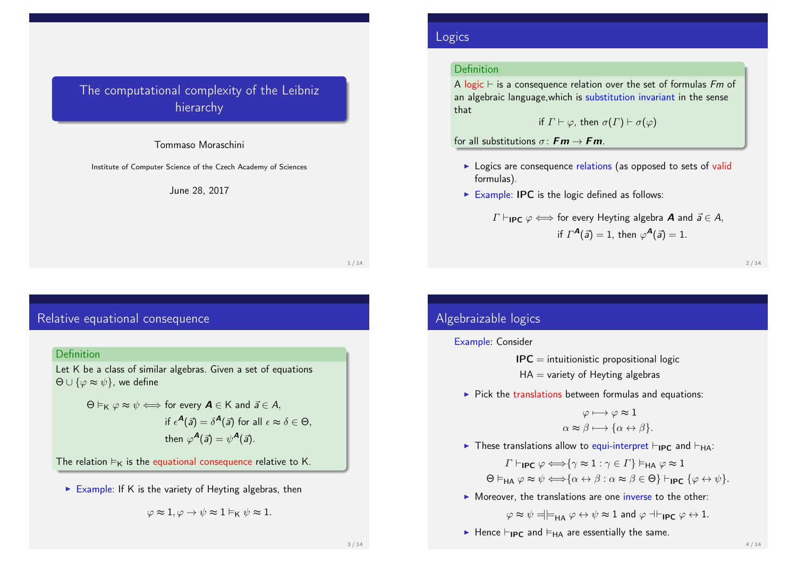# The computational complexity of the Leibniz hierarchy

#### Tommaso Moraschini

Institute of Computer Science of the Czech Academy of Sciences

#### June 28, 2017

1 / 14

# Relative equational consequence

### **Definition**

Let K be a class of similar algebras. Given a set of equations  $\Theta \cup {\varphi \approx \psi}$ , we define

$$
\Theta \vDash_K \varphi \approx \psi \Longleftrightarrow \text{ for every } A \in K \text{ and } \vec{a} \in A,
$$
  
if  $\epsilon^A(\vec{a}) = \delta^A(\vec{a})$  for all  $\epsilon \approx \delta \in \Theta$ ,  
then  $\varphi^A(\vec{a}) = \psi^A(\vec{a})$ .

The relation  $\vDash_{K}$  is the equational consequence relative to K.

Example: If K is the variety of Heyting algebras, then

$$
\varphi \thickapprox 1, \varphi \rightarrow \psi \thickapprox 1 \vDash_{\mathsf{K}} \psi \thickapprox 1.
$$

## Logics

## Definition

A logic  $\vdash$  is a consequence relation over the set of formulas Fm of an algebraic language,which is substitution invariant in the sense that

if 
$$
\Gamma \vdash \varphi
$$
, then  $\sigma(\Gamma) \vdash \sigma(\varphi)$ 

for all substitutions  $\sigma: \mathbf{Fm} \to \mathbf{Fm}$ 

- **In Logics are consequence relations (as opposed to sets of valid** formulas).
- $\triangleright$  Example: IPC is the logic defined as follows:

$$
\Gamma \vdash_{\mathsf{IPC}} \varphi \Longleftrightarrow
$$
 for every Heyting algebra **A** and  $\vec{a} \in A$ ,  
if  $\Gamma^{\mathbf{A}}(\vec{a}) = 1$ , then  $\varphi^{\mathbf{A}}(\vec{a}) = 1$ .

2 / 14

# Algebraizable logics

#### Example: Consider

 $IPC =$  intuitionistic propositional logic

 $HA =$  variety of Heyting algebras

 $\triangleright$  Pick the translations between formulas and equations:

$$
\varphi \longmapsto \varphi \approx 1
$$

$$
\alpha \approx \beta \longmapsto \{\alpha \leftrightarrow \beta\}.
$$

In These translations allow to equi-interpret  $\vdash_{IPC}$  and  $\vdash_{HA}$ :

 $\Gamma \vdash_{\mathsf{IPC}} \varphi \Longleftrightarrow \{\gamma \approx 1 : \gamma \in \Gamma\} \vDash_{\mathsf{HA}} \varphi \approx 1$  $\Theta \vDash_{\text{HA}} \varphi \approx \psi \Longleftrightarrow {\alpha \leftrightarrow \beta : \alpha \approx \beta \in \Theta} \vdash_{\text{IPC}} {\varphi \leftrightarrow \psi}.$ 

 $\triangleright$  Moreover, the translations are one inverse to the other:

 $\varphi \approx \psi = \models_{\mathsf{HA}} \varphi \leftrightarrow \psi \approx 1$  and  $\varphi \dashv_{\mathsf{IPC}} \varphi \leftrightarrow 1$ .

Hence  $\vdash_{\mathsf{IPC}}$  and  $\vDash_{\mathsf{HA}}$  are essentially the same.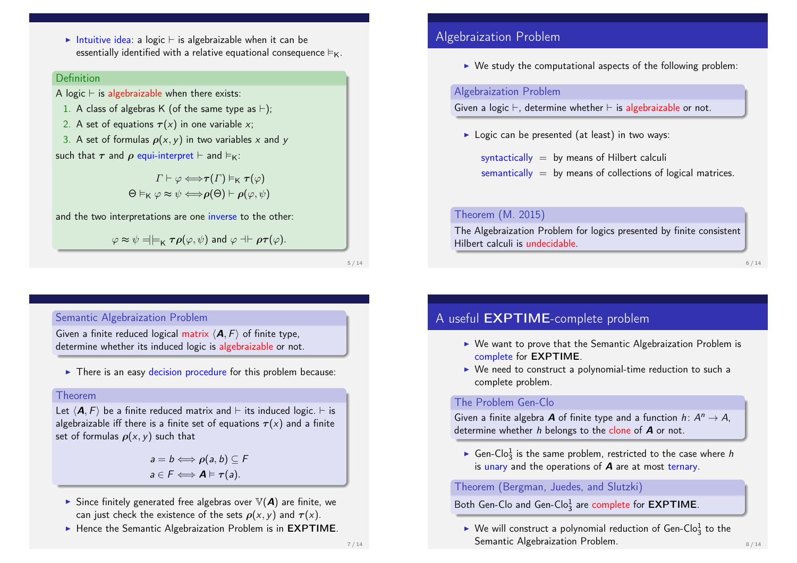Intuitive idea: a logic  $\vdash$  is algebraizable when it can be essentially identified with a relative equational consequence  $\vDash_{K}$ .

#### **Definition**

A logic  $\vdash$  is algebraizable when there exists:

- 1. A class of algebras K (of the same type as  $\vdash$ );
- 2. A set of equations  $\tau(x)$  in one variable x;
- 3. A set of formulas  $\rho(x, y)$  in two variables x and y such that  $\tau$  and  $\rho$  equi-interpret  $\vdash$  and  $\vDash$ <sub>K</sub>:

 $\Gamma \vdash \varphi \Longleftrightarrow \tau(\Gamma) \vDash_{\mathsf{K}} \tau(\varphi)$  $\Theta \vDash_{\mathsf{K}} \varphi \approx \psi \Longleftrightarrow \rho(\Theta) \vdash \rho(\varphi, \psi)$ 

and the two interpretations are one inverse to the other:

 $\varphi \approx \psi = \models_{\mathsf{K}} \tau \rho(\varphi, \psi)$  and  $\varphi \dashv \vdash \rho \tau(\varphi)$ .

5 / 14

### Semantic Algebraization Problem

Given a finite reduced logical matrix  $\langle \mathbf{A}, F \rangle$  of finite type, determine whether its induced logic is algebraizable or not.

 $\triangleright$  There is an easy decision procedure for this problem because:

#### Theorem

Let  $\langle A, F \rangle$  be a finite reduced matrix and  $\vdash$  its induced logic.  $\vdash$  is algebraizable iff there is a finite set of equations  $\tau(x)$  and a finite set of formulas  $\rho(x, y)$  such that

> $a = b \Longleftrightarrow \rho(a, b) \subseteq F$  $a \in F \Longleftrightarrow A \models \tau(a).$

- $\triangleright$  Since finitely generated free algebras over  $\mathbb{V}(A)$  are finite, we can just check the existence of the sets  $\rho(x, y)$  and  $\tau(x)$ .
- $\blacktriangleright$  Hence the Semantic Algebraization Problem is in EXPTIME.

# Algebraization Problem

 $\triangleright$  We study the computational aspects of the following problem:

### Algebraization Problem

Given a logic  $\vdash$ , determine whether  $\vdash$  is algebraizable or not.

 $\triangleright$  Logic can be presented (at least) in two ways:

syntactically  $=$  by means of Hilbert calculi  $semantically = by means of collections of logical matrices.$ 

### Theorem (M. 2015)

The Algebraization Problem for logics presented by finite consistent Hilbert calculi is undecidable.

#### 6 / 14

# A useful EXPTIME-complete problem

- $\triangleright$  We want to prove that the Semantic Algebraization Problem is complete for EXPTIME.
- $\triangleright$  We need to construct a polynomial-time reduction to such a complete problem.

#### The Problem Gen-Clo

Given a finite algebra **A** of finite type and a function  $h: A^n \to A$ , determine whether  $h$  belongs to the clone of  $A$  or not.

Gen-Clo<sub>3</sub> is the same problem, restricted to the case where h is unary and the operations of  $\boldsymbol{A}$  are at most ternary.

### Theorem (Bergman, Juedes, and Slutzki)

# Both Gen-Clo and Gen-Clo $\frac{1}{3}$  are complete for  $\mathsf{EXPTIME}.$

 $\blacktriangleright$  We will construct a polynomial reduction of Gen-Clo $_3^1$  to the Semantic Algebraization Problem.  $8/14$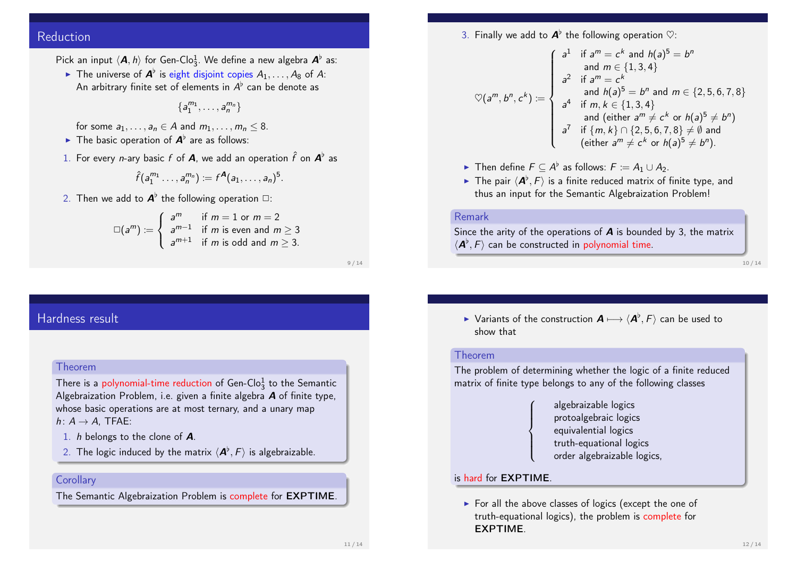# Reduction

Pick an input  $\langle \mathbf{A}, h \rangle$  for Gen-Clo $_3^1$ . We define a new algebra  $\mathbf{A}^{\flat}$  as:

The universe of  $\mathbf{A}^{\flat}$  is eight disjoint copies  $A_1,\ldots,A_8$  of A: An arbitrary finite set of elements in  $A^\flat$  can be denote as

 ${a_1^{m_1}, \ldots, a_n^{m_n}}$ 

for some  $a_1, \ldots, a_n \in A$  and  $m_1, \ldots, m_n \leq 8$ .

- The basic operation of  $A^{\flat}$  are as follows:
- 1. For every *n*-ary basic  $f$  of  $\boldsymbol{A}$ , we add an operation  $\hat{f}$  on  $\boldsymbol{A}^{\flat}$  as

$$
\hat{f}(a_1^{m_1}\ldots,a_n^{m_n}) := f^{\mathbf{A}}(a_1,\ldots,a_n)^5.
$$

2. Then we add to  $\textit{\textbf{A}}^{\flat}$  the following operation  $\Box$ :

$$
\Box(a^m) := \begin{cases} a^m & \text{if } m = 1 \text{ or } m = 2 \\ a^{m-1} & \text{if } m \text{ is even and } m \ge 3 \\ a^{m+1} & \text{if } m \text{ is odd and } m \ge 3. \end{cases}
$$

9 / 14

# Hardness result

#### Theorem

There is a polynomial-time reduction of Gen-Clo $_3^1$  to the Semantic Algebraization Problem, i.e. given a finite algebra **A** of finite type. whose basic operations are at most ternary, and a unary map  $h: A \rightarrow A$ . TFAE:

- 1. h belongs to the clone of A.
- 2. The logic induced by the matrix  $\langle \bm A^\flat, F \rangle$  is algebraizable.

### **Corollary**

The Semantic Algebraization Problem is complete for EXPTIME.

3. Finally we add to  $\boldsymbol{A}^{\flat}$  the following operation  $\heartsuit$ :

$$
\heartsuit(a^m, b^n, c^k) := \begin{cases}\na^1 & \text{if } a^m = c^k \text{ and } h(a)^5 = b^n \\
a^2 & \text{if } a^m = c^k \\
\text{and } h(a)^5 = b^n \text{ and } m \in \{2, 5, 6, 7, 8\} \\
a^4 & \text{if } m, k \in \{1, 3, 4\} \\
\text{and (either } a^m \neq c^k \text{ or } h(a)^5 \neq b^n) \\
a^7 & \text{if } \{m, k\} \cap \{2, 5, 6, 7, 8\} \neq \emptyset \text{ and} \\
(\text{either } a^m \neq c^k \text{ or } h(a)^5 \neq b^n).\n\end{cases}
$$

- ► Then define  $F \subseteq A^{\flat}$  as follows:  $F := A_1 \cup A_2$ .
- $\blacktriangleright$  The pair  $\langle \boldsymbol{A}^{\flat}, F \rangle$  is a finite reduced matrix of finite type, and thus an input for the Semantic Algebraization Problem!

#### Remark

Since the arity of the operations of  $\boldsymbol{A}$  is bounded by 3, the matrix  $\langle \bm A^\flat, F \rangle$  can be constructed in polynomial time.

10 / 14

▶ Variants of the construction  $\bm{A} \longmapsto \langle \bm{A}^{\flat}, F \rangle$  can be used to show that

#### Theorem

The problem of determining whether the logic of a finite reduced matrix of finite type belongs to any of the following classes

> algebraizable logics protoalgebraic logics equivalential logics truth-equational logics order algebraizable logics,

### is hard for EXPTIME.

 $\sqrt{ }$  $\int$ 

 $\overline{\mathcal{L}}$ 

 $\triangleright$  For all the above classes of logics (except the one of truth-equational logics), the problem is complete for EXPTIME.